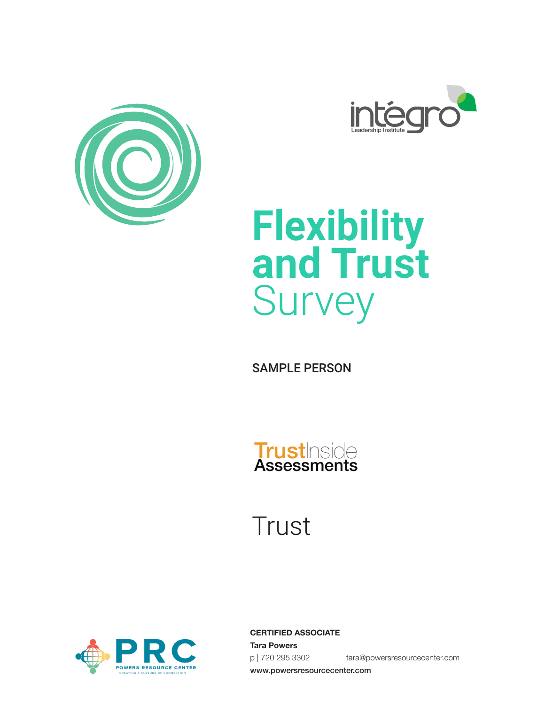





SAMPLE PERSON



**Trust** 



**CERTIFIED ASSOCIATE Tara Powers** p | 720 295 3302 tara@powersresourcecenter.com www.powersresourcecenter.com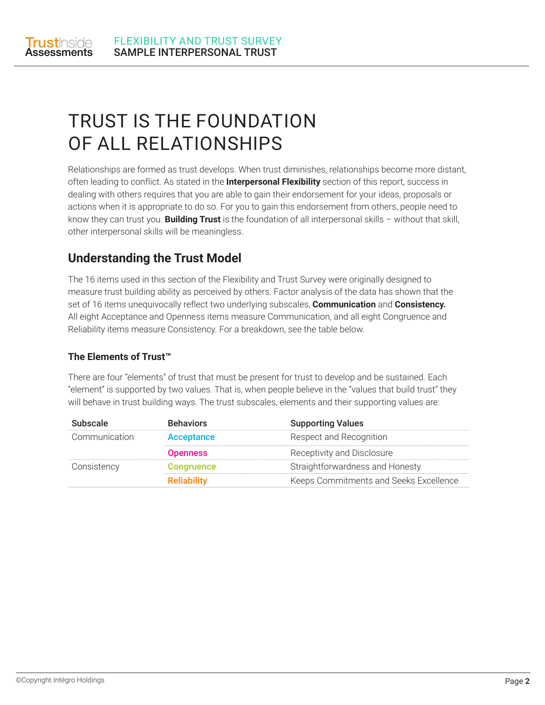

# TRUST IS THE FOUNDATION OF ALL RELATIONSHIPS

Relationships are formed as trust develops. When trust diminishes, relationships become more distant, often leading to conflict. As stated in the **Interpersonal Flexibility** section of this report, success in dealing with others requires that you are able to gain their endorsement for your ideas, proposals or actions when it is appropriate to do so. For you to gain this endorsement from others, people need to know they can trust you. **Building Trust** is the foundation of all interpersonal skills – without that skill, other interpersonal skills will be meaningless.

### **Understanding the Trust Model**

The 16 items used in this section of the Flexibility and Trust Survey were originally designed to measure trust building ability as perceived by others. Factor analysis of the data has shown that the set of 16 items unequivocally reflect two underlying subscales, **Communication** and **Consistency.**  All eight Acceptance and Openness items measure Communication, and all eight Congruence and Reliability items measure Consistency. For a breakdown, see the table below.

#### **The Elements of Trust™**

There are four "elements" of trust that must be present for trust to develop and be sustained. Each "element" is supported by two values. That is, when people believe in the "values that build trust" they will behave in trust building ways. The trust subscales, elements and their supporting values are:

| <b>Subscale</b> | <b>Behaviors</b>   | <b>Supporting Values</b>               |
|-----------------|--------------------|----------------------------------------|
| Communication   | Acceptance         | Respect and Recognition                |
|                 | <b>Openness</b>    | Receptivity and Disclosure             |
| Consistency     | <b>Congruence</b>  | Straightforwardness and Honesty        |
|                 | <b>Reliability</b> | Keeps Commitments and Seeks Excellence |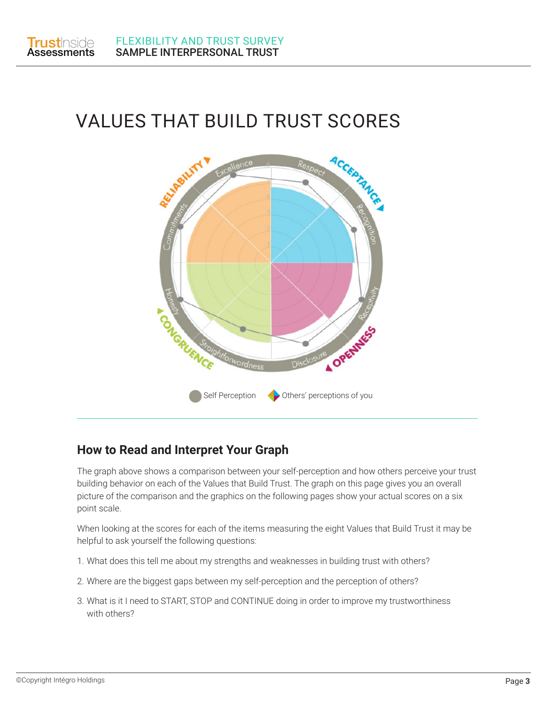

## VALUES THAT BUILD TRUST SCORES



### **How to Read and Interpret Your Graph**

The graph above shows a comparison between your self-perception and how others perceive your trust building behavior on each of the Values that Build Trust. The graph on this page gives you an overall picture of the comparison and the graphics on the following pages show your actual scores on a six point scale.

When looking at the scores for each of the items measuring the eight Values that Build Trust it may be helpful to ask yourself the following questions:

- 1. What does this tell me about my strengths and weaknesses in building trust with others?
- 2. Where are the biggest gaps between my self-perception and the perception of others?
- 3. What is it I need to START, STOP and CONTINUE doing in order to improve my trustworthiness with others?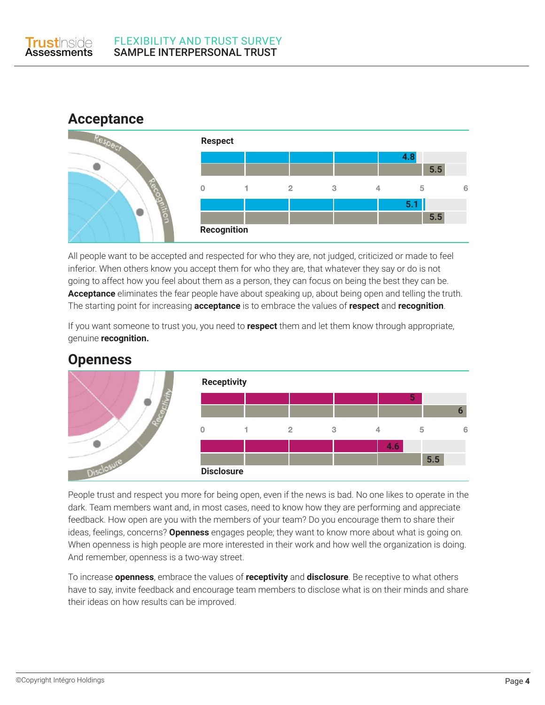



All people want to be accepted and respected for who they are, not judged, criticized or made to feel inferior. When others know you accept them for who they are, that whatever they say or do is not going to affect how you feel about them as a person, they can focus on being the best they can be. **Acceptance** eliminates the fear people have about speaking up, about being open and telling the truth. The starting point for increasing **acceptance** is to embrace the values of **respect** and **recognition**.

If you want someone to trust you, you need to **respect** them and let them know through appropriate, genuine **recognition.**



### **Openness**

People trust and respect you more for being open, even if the news is bad. No one likes to operate in the dark. Team members want and, in most cases, need to know how they are performing and appreciate feedback. How open are you with the members of your team? Do you encourage them to share their ideas, feelings, concerns? **Openness** engages people; they want to know more about what is going on. When openness is high people are more interested in their work and how well the organization is doing. And remember, openness is a two-way street.

To increase **openness**, embrace the values of **receptivity** and **disclosure**. Be receptive to what others have to say, invite feedback and encourage team members to disclose what is on their minds and share their ideas on how results can be improved.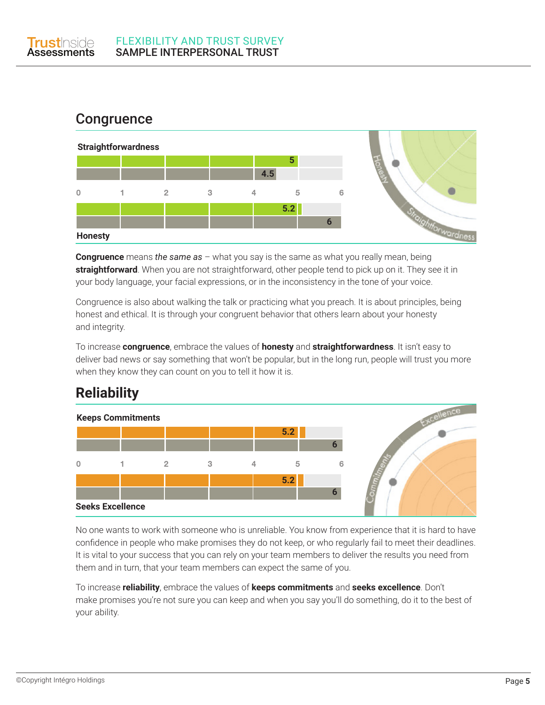

### **Congruence**



**Congruence** means *the same as* – what you say is the same as what you really mean, being **straightforward**. When you are not straightforward, other people tend to pick up on it. They see it in your body language, your facial expressions, or in the inconsistency in the tone of your voice.

Congruence is also about walking the talk or practicing what you preach. It is about principles, being honest and ethical. It is through your congruent behavior that others learn about your honesty and integrity.

To increase **congruence**, embrace the values of **honesty** and **straightforwardness**. It isn't easy to deliver bad news or say something that won't be popular, but in the long run, people will trust you more when they know they can count on you to tell it how it is.

### **Reliability**



No one wants to work with someone who is unreliable. You know from experience that it is hard to have confidence in people who make promises they do not keep, or who regularly fail to meet their deadlines. It is vital to your success that you can rely on your team members to deliver the results you need from them and in turn, that your team members can expect the same of you.

To increase **reliability**, embrace the values of **keeps commitments** and **seeks excellence**. Don't make promises you're not sure you can keep and when you say you'll do something, do it to the best of your ability.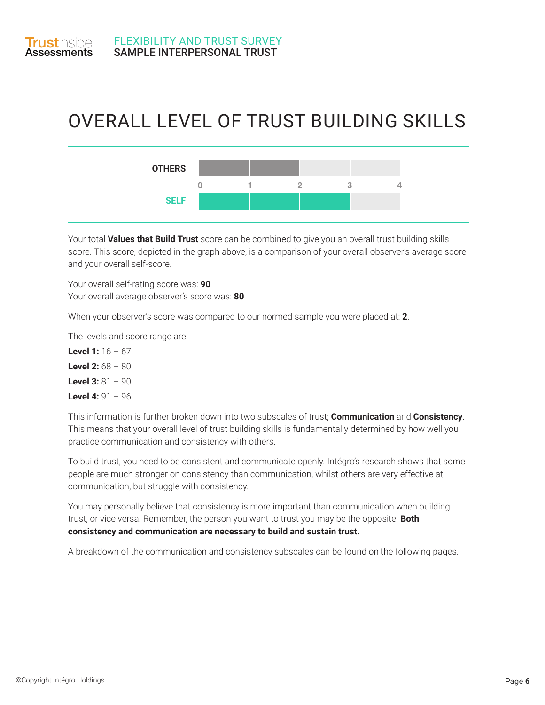

### OVERALL LEVEL OF TRUST BUILDING SKILLS



Your total **Values that Build Trust** score can be combined to give you an overall trust building skills score. This score, depicted in the graph above, is a comparison of your overall observer's average score and your overall self-score.

Your overall self-rating score was: **90** Your overall average observer's score was: **80**

When your observer's score was compared to our normed sample you were placed at: **2**.

The levels and score range are:

**Level 1:** 16 – 67 **Level 2:** 68 – 80 **Level 3:** 81 – 90 **Level 4:** 91 – 96

This information is further broken down into two subscales of trust; **Communication** and **Consistency**. This means that your overall level of trust building skills is fundamentally determined by how well you practice communication and consistency with others.

To build trust, you need to be consistent and communicate openly. Intégro's research shows that some people are much stronger on consistency than communication, whilst others are very effective at communication, but struggle with consistency.

You may personally believe that consistency is more important than communication when building trust, or vice versa. Remember, the person you want to trust you may be the opposite. **Both consistency and communication are necessary to build and sustain trust.**

A breakdown of the communication and consistency subscales can be found on the following pages.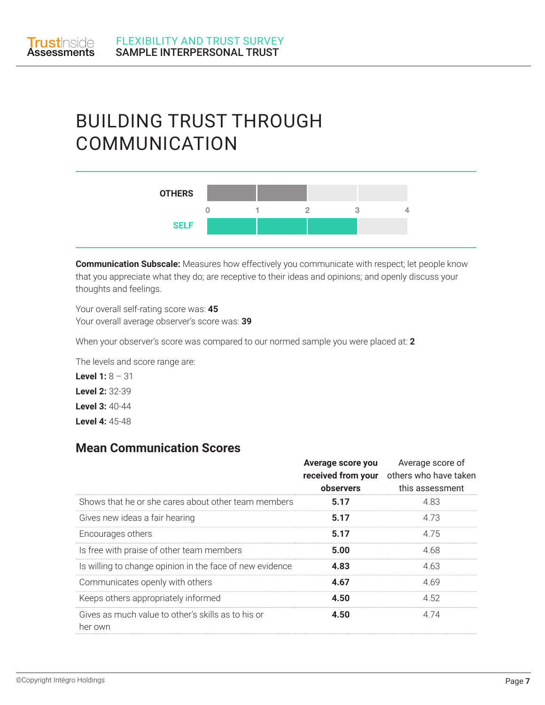

## BUILDING TRUST THROUGH COMMUNICATION



**Communication Subscale:** Measures how effectively you communicate with respect; let people know that you appreciate what they do; are receptive to their ideas and opinions; and openly discuss your thoughts and feelings.

Your overall self-rating score was: **45** Your overall average observer's score was: **39**

When your observer's score was compared to our normed sample you were placed at: **2**

The levels and score range are:

**Level 1:** 8 – 31 **Level 2:** 32-39 **Level 3:** 40-44 **Level 4:** 45-48

#### **Mean Communication Scores**

|                                                               | Average score you<br>received from your<br>observers | Average score of<br>others who have taken<br>this assessment |
|---------------------------------------------------------------|------------------------------------------------------|--------------------------------------------------------------|
| Shows that he or she cares about other team members           | 5.17                                                 | 4.83                                                         |
| Gives new ideas a fair hearing                                | 5.17                                                 | 4.73                                                         |
| Encourages others                                             | 5.17                                                 | 4.75                                                         |
| Is free with praise of other team members                     | 5.00                                                 | 4.68                                                         |
| Is willing to change opinion in the face of new evidence      | 4.83                                                 | 4.63                                                         |
| Communicates openly with others                               | 4.67                                                 | 4.69                                                         |
| Keeps others appropriately informed                           | 4.50                                                 | 4.52                                                         |
| Gives as much value to other's skills as to his or<br>her own | 4.50                                                 | 4.74                                                         |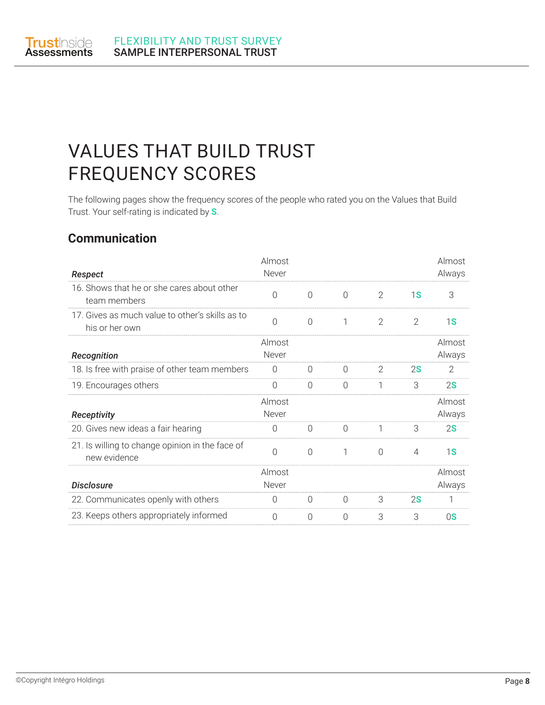

## VALUES THAT BUILD TRUST FREQUENCY SCORES

The following pages show the frequency scores of the people who rated you on the Values that Build Trust. Your self-rating is indicated by **S**.

### **Communication**

| Respect                                                           | Almost<br>Never |           |           |                |                | Almost<br>Always |
|-------------------------------------------------------------------|-----------------|-----------|-----------|----------------|----------------|------------------|
| 16. Shows that he or she cares about other<br>team members        | $\bigcap$       | $\bigcap$ | $\bigcap$ | $\overline{2}$ | 1S             | 3                |
| 17. Gives as much value to other's skills as to<br>his or her own | $\bigcap$       | $\bigcap$ | 1         | $\overline{2}$ | $\overline{2}$ | 1S               |
| <b>Recognition</b>                                                | Almost<br>Never |           |           |                |                | Almost<br>Always |
| 18. Is free with praise of other team members                     | $\Omega$        | $\Omega$  | $\Omega$  | 2              | 2S             | 2                |
| 19. Encourages others                                             | $\overline{0}$  | $\Omega$  | $\Omega$  | 1              | 3              | 2S               |
|                                                                   | Almost          |           |           |                |                | Almost           |
| Receptivity                                                       | Never           |           |           |                |                | Always           |
| 20. Gives new ideas a fair hearing                                | $\Omega$        | $\bigcap$ | $\bigcap$ | 1              | 3              | 2S               |
| 21. Is willing to change opinion in the face of<br>new evidence   | $\Omega$        | $\bigcap$ | 1         | $\Omega$       | 4              | 1S               |
|                                                                   | Almost          |           |           |                |                | Almost           |
| <b>Disclosure</b>                                                 | Never           |           |           |                |                | Always           |
| 22. Communicates openly with others                               | $\Omega$        | $\Omega$  | $\Omega$  | 3              | 2S             | 1                |
| 23. Keeps others appropriately informed                           | $\bigcap$       | $\cap$    | $\bigcap$ | 3              | 3              | 0S               |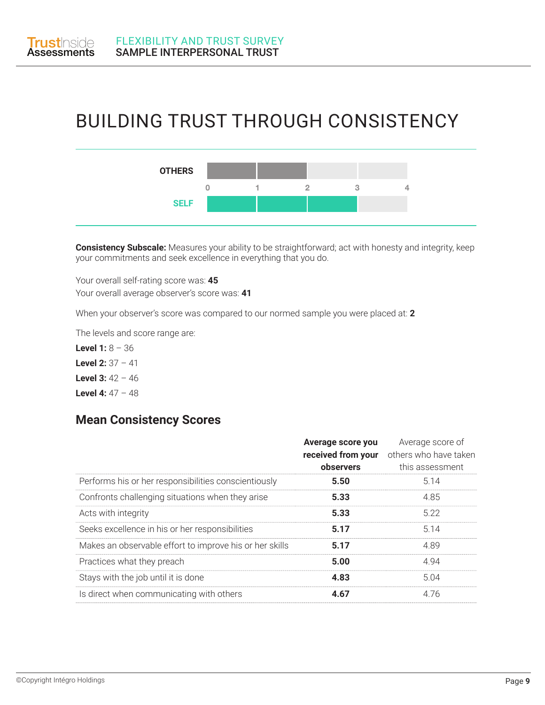

### BUILDING TRUST THROUGH CONSISTENCY



**Consistency Subscale:** Measures your ability to be straightforward; act with honesty and integrity, keep your commitments and seek excellence in everything that you do.

Your overall self-rating score was: **45** Your overall average observer's score was: **41**

When your observer's score was compared to our normed sample you were placed at: **2**

The levels and score range are:

**Level 1:** 8 – 36 **Level 2:** 37 – 41 **Level 3:** 42 – 46 **Level 4:** 47 – 48

#### **Mean Consistency Scores**

|                                                         | Average score you<br>received from your<br>observers | Average score of<br>others who have taken<br>this assessment |
|---------------------------------------------------------|------------------------------------------------------|--------------------------------------------------------------|
| Performs his or her responsibilities conscientiously    | 5.50                                                 | 5.14                                                         |
| Confronts challenging situations when they arise        | 5.33                                                 | 4.85                                                         |
| Acts with integrity                                     | 5.33                                                 | 5.22                                                         |
| Seeks excellence in his or her responsibilities         | 5.17                                                 | 5.14                                                         |
| Makes an observable effort to improve his or her skills | 5.17                                                 | 4.89                                                         |
| Practices what they preach                              | 5.00                                                 | 4.94                                                         |
| Stays with the job until it is done                     | 4.83                                                 | 5.04                                                         |
| Is direct when communicating with others                | 4.67                                                 | 4.76                                                         |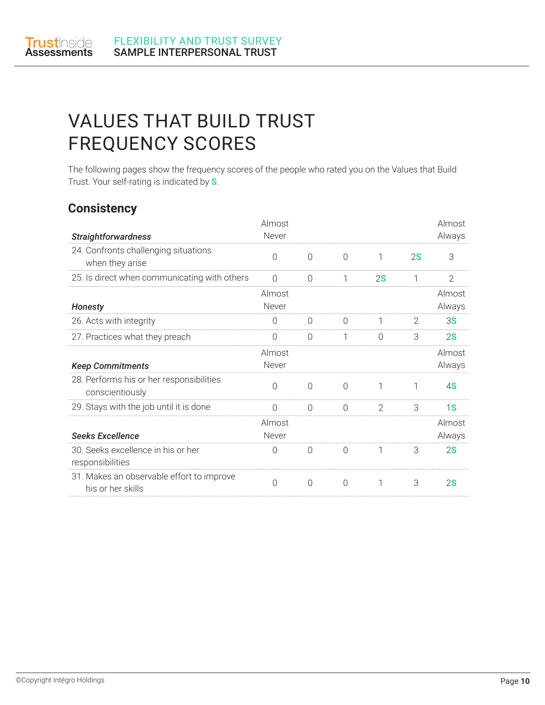

### VALUES THAT BUILD TRUST FREQUENCY SCORES

The following pages show the frequency scores of the people who rated you on the Values that Build Trust. Your self-rating is indicated by **S**.

#### **Consistency**

| <b>Straightforwardness</b>                                     | Almost<br>Never |           |                |               |                | Almost<br>Always |
|----------------------------------------------------------------|-----------------|-----------|----------------|---------------|----------------|------------------|
| 24. Confronts challenging situations<br>when they arise        | 0               | $\bigcap$ | $\Omega$       | 1             | 2S             | 3                |
| 25. Is direct when communicating with others                   | $\overline{0}$  | $\Omega$  | 1              | 2S            | 1              | $\overline{2}$   |
| <b>Honesty</b>                                                 | Almost<br>Never |           |                |               |                | Almost<br>Always |
| 26. Acts with integrity                                        | 0               | $\Omega$  | $\Omega$       | 1             | $\overline{2}$ | 3 <b>S</b>       |
| 27. Practices what they preach                                 | 0               | $\Omega$  | 1              | $\Omega$      | 3              | 2S               |
| <b>Keep Commitments</b>                                        | Almost<br>Never |           |                |               |                | Almost<br>Always |
| 28. Performs his or her responsibilities<br>conscientiously    | 0               | $\bigcap$ | $\bigcap$      | 1             | 1              | 4S               |
| 29. Stays with the job until it is done                        | $\bigcap$       | $\bigcap$ | $\bigcap$      | $\mathcal{P}$ | 3              | 1S               |
| <b>Seeks Excellence</b>                                        | Almost<br>Never |           |                |               |                | Almost<br>Always |
| 30. Seeks excellence in his or her<br>responsibilities         | $\Omega$        | $\bigcap$ | $\overline{0}$ | 1             | 3              | 2S               |
| 31. Makes an observable effort to improve<br>his or her skills | 0               | $\bigcap$ | $\Omega$       | 1             | 3              | 2S               |